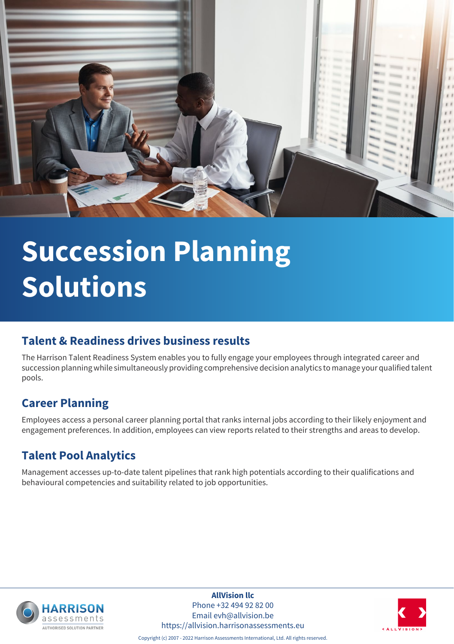

# **Succession Planning Solutions**

## **Talent & Readiness drives business results**

The Harrison Talent Readiness System enables you to fully engage your employees through integrated career and succession planning while simultaneously providing comprehensive decision analytics to manage your qualified talent pools.

## **Career Planning**

Employees access a personal career planning portal that ranks internal jobs according to their likely enjoyment and engagement preferences. In addition, employees can view reports related to their strengths and areas to develop.

# **Talent Pool Analytics**

Management accesses up-to-date talent pipelines that rank high potentials according to their qualifications and behavioural competencies and suitability related to job opportunities.



**AllVision llc** Phone +32 494 92 82 00 Email evh@allvision.be https://allvision.harrisonassessments.eu



Copyright (c) 2007 - 2022 Harrison Assessments International, Ltd. All rights reserved.